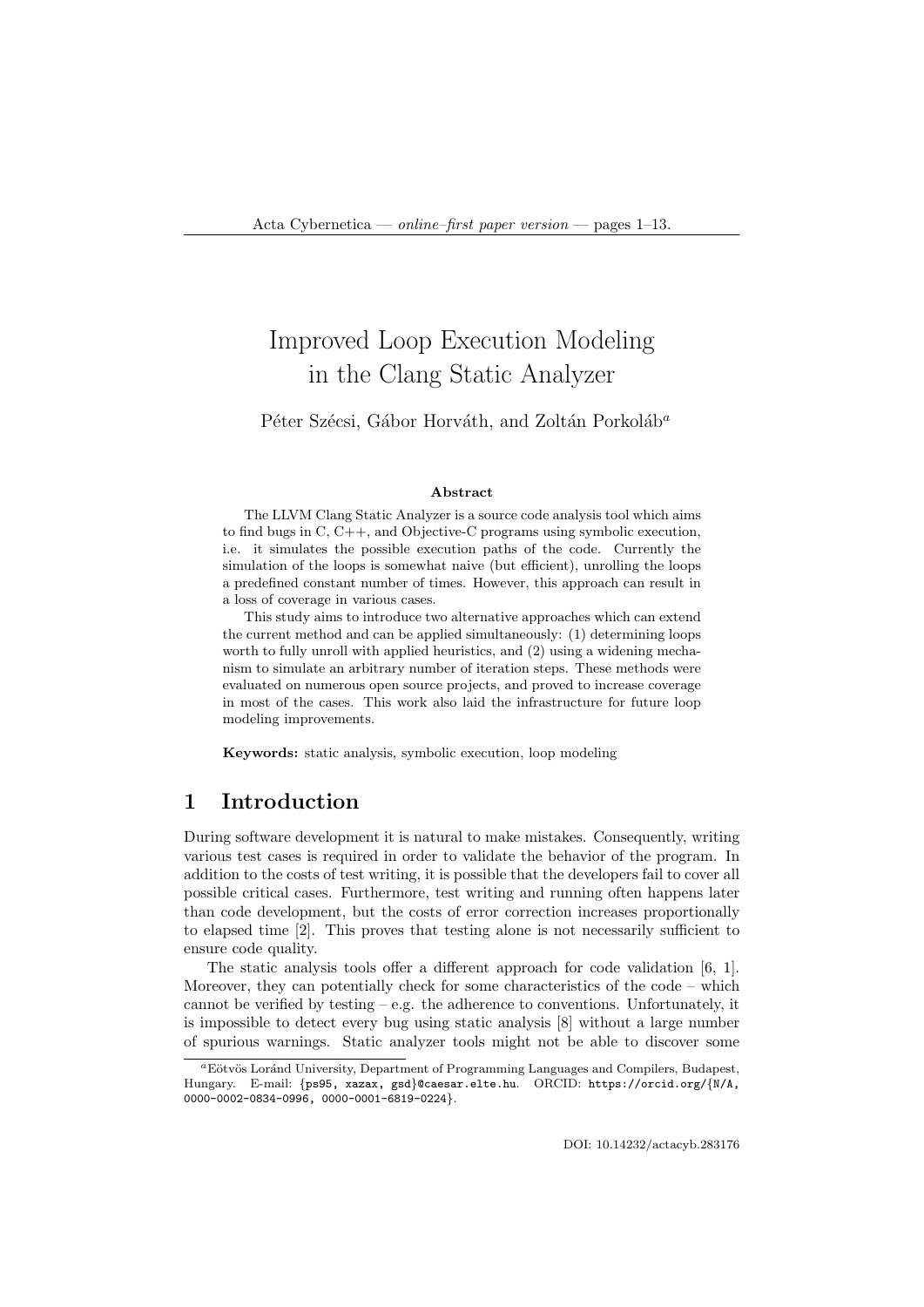# Improved Loop Execution Modeling in the Clang Static Analyzer

#### Péter Szécsi, Gábor Horváth, and Zoltán Porkoláb<sup>a</sup>

#### Abstract

The LLVM Clang Static Analyzer is a source code analysis tool which aims to find bugs in C, C++, and Objective-C programs using symbolic execution, i.e. it simulates the possible execution paths of the code. Currently the simulation of the loops is somewhat naive (but efficient), unrolling the loops a predefined constant number of times. However, this approach can result in a loss of coverage in various cases.

This study aims to introduce two alternative approaches which can extend the current method and can be applied simultaneously: (1) determining loops worth to fully unroll with applied heuristics, and (2) using a widening mechanism to simulate an arbitrary number of iteration steps. These methods were evaluated on numerous open source projects, and proved to increase coverage in most of the cases. This work also laid the infrastructure for future loop modeling improvements.

Keywords: static analysis, symbolic execution, loop modeling

# 1 Introduction

During software development it is natural to make mistakes. Consequently, writing various test cases is required in order to validate the behavior of the program. In addition to the costs of test writing, it is possible that the developers fail to cover all possible critical cases. Furthermore, test writing and running often happens later than code development, but the costs of error correction increases proportionally to elapsed time [2]. This proves that testing alone is not necessarily sufficient to ensure code quality.

The static analysis tools offer a different approach for code validation [6, 1]. Moreover, they can potentially check for some characteristics of the code – which cannot be verified by testing  $-e.g.$  the adherence to conventions. Unfortunately, it is impossible to detect every bug using static analysis [8] without a large number of spurious warnings. Static analyzer tools might not be able to discover some

<sup>&</sup>lt;sup>a</sup>Eötvös Loránd University, Department of Programming Languages and Compilers, Budapest, Hungary. E-mail: {ps95, xazax, gsd}@caesar.elte.hu. ORCID: https://orcid.org/{N/A, 0000-0002-0834-0996, 0000-0001-6819-0224}.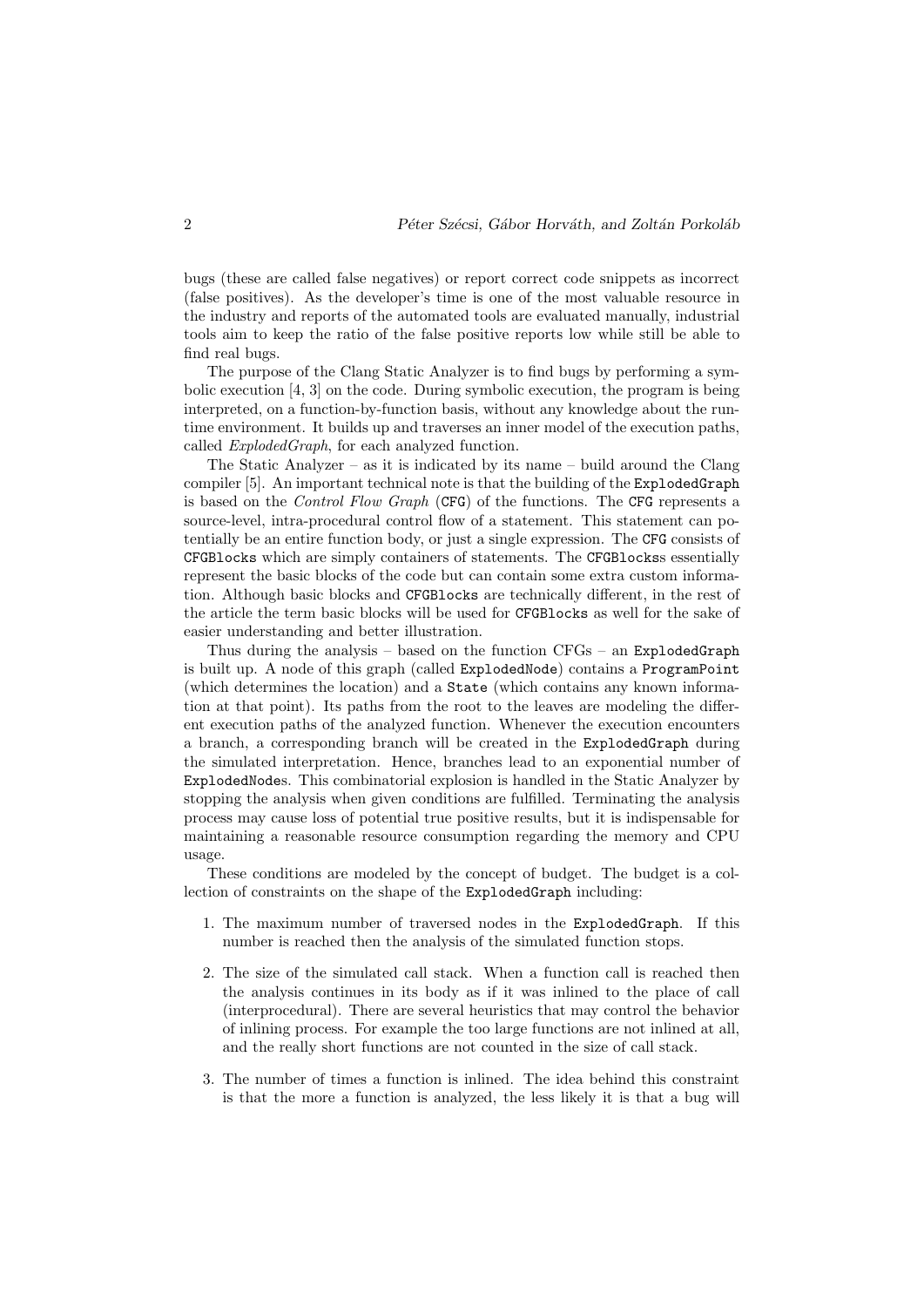bugs (these are called false negatives) or report correct code snippets as incorrect (false positives). As the developer's time is one of the most valuable resource in the industry and reports of the automated tools are evaluated manually, industrial tools aim to keep the ratio of the false positive reports low while still be able to find real bugs.

The purpose of the Clang Static Analyzer is to find bugs by performing a symbolic execution [4, 3] on the code. During symbolic execution, the program is being interpreted, on a function-by-function basis, without any knowledge about the runtime environment. It builds up and traverses an inner model of the execution paths, called ExplodedGraph, for each analyzed function.

The Static Analyzer – as it is indicated by its name – build around the Clang compiler [5]. An important technical note is that the building of the ExplodedGraph is based on the Control Flow Graph (CFG) of the functions. The CFG represents a source-level, intra-procedural control flow of a statement. This statement can potentially be an entire function body, or just a single expression. The CFG consists of CFGBlocks which are simply containers of statements. The CFGBlockss essentially represent the basic blocks of the code but can contain some extra custom information. Although basic blocks and CFGBlocks are technically different, in the rest of the article the term basic blocks will be used for CFGBlocks as well for the sake of easier understanding and better illustration.

Thus during the analysis – based on the function  $CFGs$  – an  $Expl$ odedGraph is built up. A node of this graph (called ExplodedNode) contains a ProgramPoint (which determines the location) and a State (which contains any known information at that point). Its paths from the root to the leaves are modeling the different execution paths of the analyzed function. Whenever the execution encounters a branch, a corresponding branch will be created in the ExplodedGraph during the simulated interpretation. Hence, branches lead to an exponential number of ExplodedNodes. This combinatorial explosion is handled in the Static Analyzer by stopping the analysis when given conditions are fulfilled. Terminating the analysis process may cause loss of potential true positive results, but it is indispensable for maintaining a reasonable resource consumption regarding the memory and CPU usage.

These conditions are modeled by the concept of budget. The budget is a collection of constraints on the shape of the ExplodedGraph including:

- 1. The maximum number of traversed nodes in the ExplodedGraph. If this number is reached then the analysis of the simulated function stops.
- 2. The size of the simulated call stack. When a function call is reached then the analysis continues in its body as if it was inlined to the place of call (interprocedural). There are several heuristics that may control the behavior of inlining process. For example the too large functions are not inlined at all, and the really short functions are not counted in the size of call stack.
- 3. The number of times a function is inlined. The idea behind this constraint is that the more a function is analyzed, the less likely it is that a bug will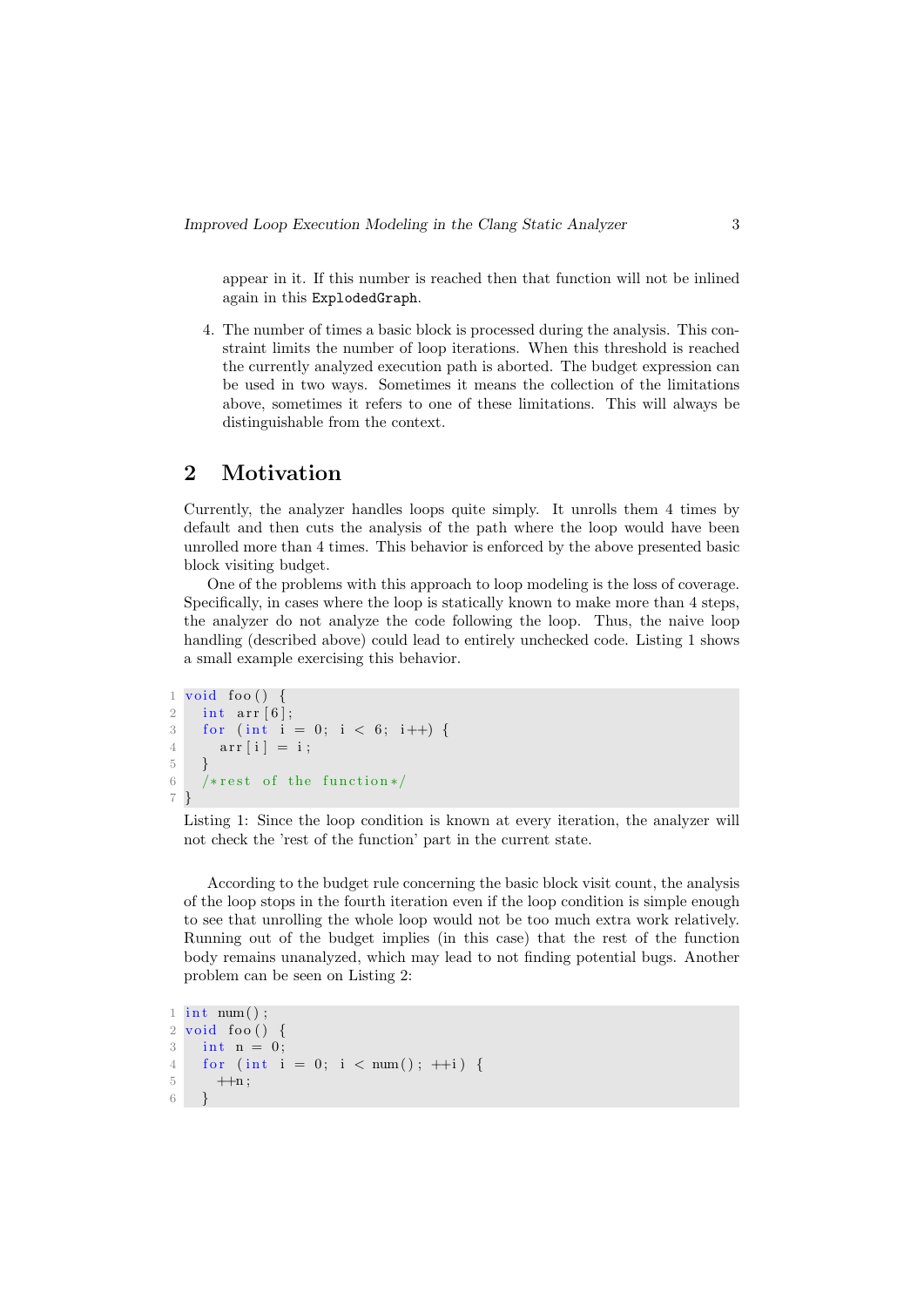appear in it. If this number is reached then that function will not be inlined again in this ExplodedGraph.

4. The number of times a basic block is processed during the analysis. This constraint limits the number of loop iterations. When this threshold is reached the currently analyzed execution path is aborted. The budget expression can be used in two ways. Sometimes it means the collection of the limitations above, sometimes it refers to one of these limitations. This will always be distinguishable from the context.

# 2 Motivation

Currently, the analyzer handles loops quite simply. It unrolls them 4 times by default and then cuts the analysis of the path where the loop would have been unrolled more than 4 times. This behavior is enforced by the above presented basic block visiting budget.

One of the problems with this approach to loop modeling is the loss of coverage. Specifically, in cases where the loop is statically known to make more than 4 steps, the analyzer do not analyze the code following the loop. Thus, the naive loop handling (described above) could lead to entirely unchecked code. Listing 1 shows a small example exercising this behavior.

```
1 void foo () {
2 int arr [6];
3 for (int i = 0; i < 6; i++) {
4 \ar{r} | i | = i;
5 }
6 /*rest of the function */
7 }
```
Listing 1: Since the loop condition is known at every iteration, the analyzer will not check the 'rest of the function' part in the current state.

According to the budget rule concerning the basic block visit count, the analysis of the loop stops in the fourth iteration even if the loop condition is simple enough to see that unrolling the whole loop would not be too much extra work relatively. Running out of the budget implies (in this case) that the rest of the function body remains unanalyzed, which may lead to not finding potential bugs. Another problem can be seen on Listing 2:

```
1 int num();
2 \text{ void } \text{foo}()3 int n = 0;
4 for (int i = 0; i < num(); +i) {
5 ++n;6 }
```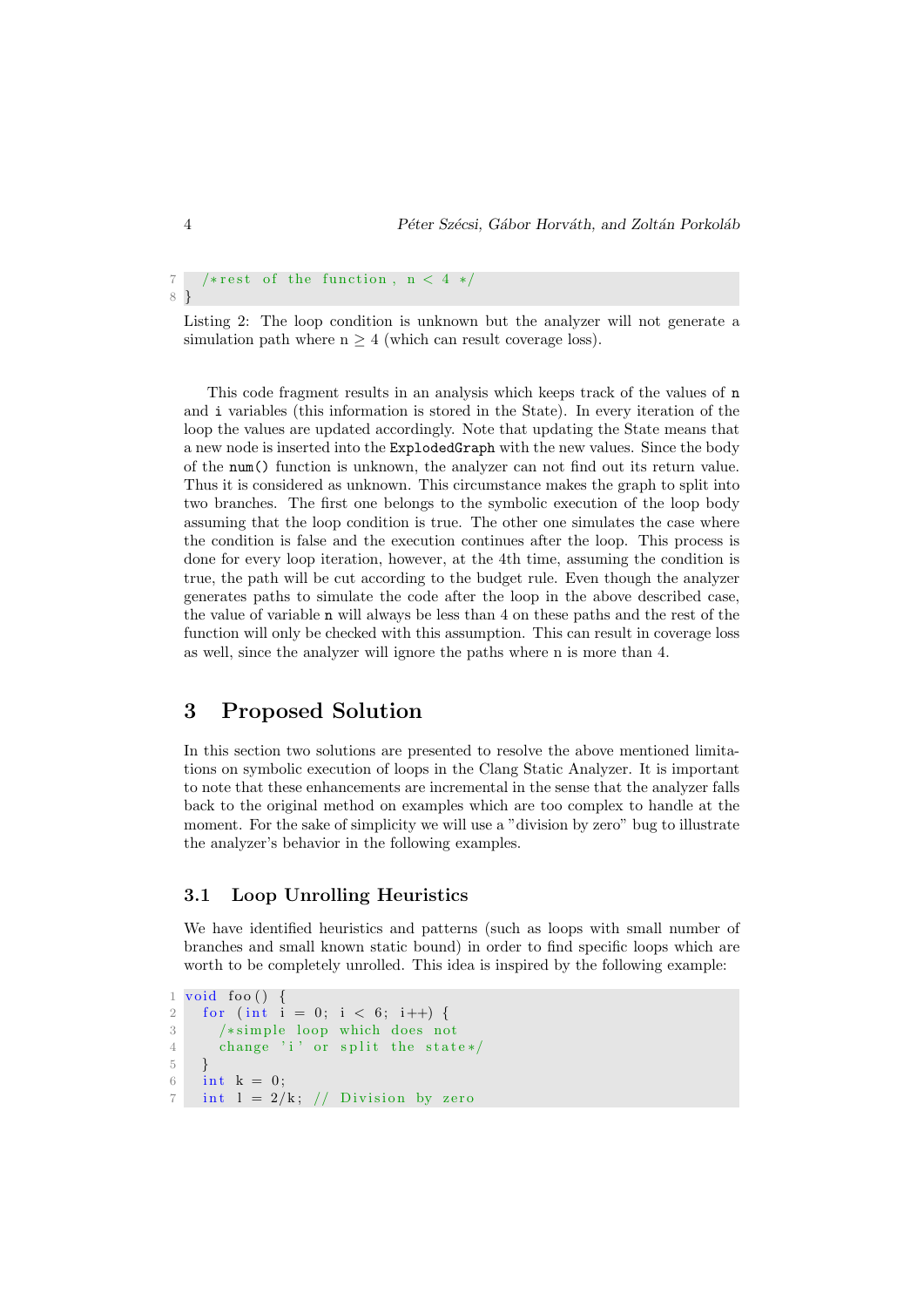```
7 /*rest of the function, n < 4 */
8 }
```
Listing 2: The loop condition is unknown but the analyzer will not generate a simulation path where  $n \geq 4$  (which can result coverage loss).

This code fragment results in an analysis which keeps track of the values of n and i variables (this information is stored in the State). In every iteration of the loop the values are updated accordingly. Note that updating the State means that a new node is inserted into the ExplodedGraph with the new values. Since the body of the num() function is unknown, the analyzer can not find out its return value. Thus it is considered as unknown. This circumstance makes the graph to split into two branches. The first one belongs to the symbolic execution of the loop body assuming that the loop condition is true. The other one simulates the case where the condition is false and the execution continues after the loop. This process is done for every loop iteration, however, at the 4th time, assuming the condition is true, the path will be cut according to the budget rule. Even though the analyzer generates paths to simulate the code after the loop in the above described case, the value of variable n will always be less than 4 on these paths and the rest of the function will only be checked with this assumption. This can result in coverage loss as well, since the analyzer will ignore the paths where n is more than 4.

# 3 Proposed Solution

In this section two solutions are presented to resolve the above mentioned limitations on symbolic execution of loops in the Clang Static Analyzer. It is important to note that these enhancements are incremental in the sense that the analyzer falls back to the original method on examples which are too complex to handle at the moment. For the sake of simplicity we will use a "division by zero" bug to illustrate the analyzer's behavior in the following examples.

#### 3.1 Loop Unrolling Heuristics

We have identified heuristics and patterns (such as loops with small number of branches and small known static bound) in order to find specific loops which are worth to be completely unrolled. This idea is inspired by the following example:

 $1$  void foo () { 2 for (int i = 0; i < 6; i++) { 3 /\*simple loop which does not 4 change 'i' or split the state\*/ 5 } 6 int  $k = 0$ ; 7 int  $1 = 2/k$ ; // Division by zero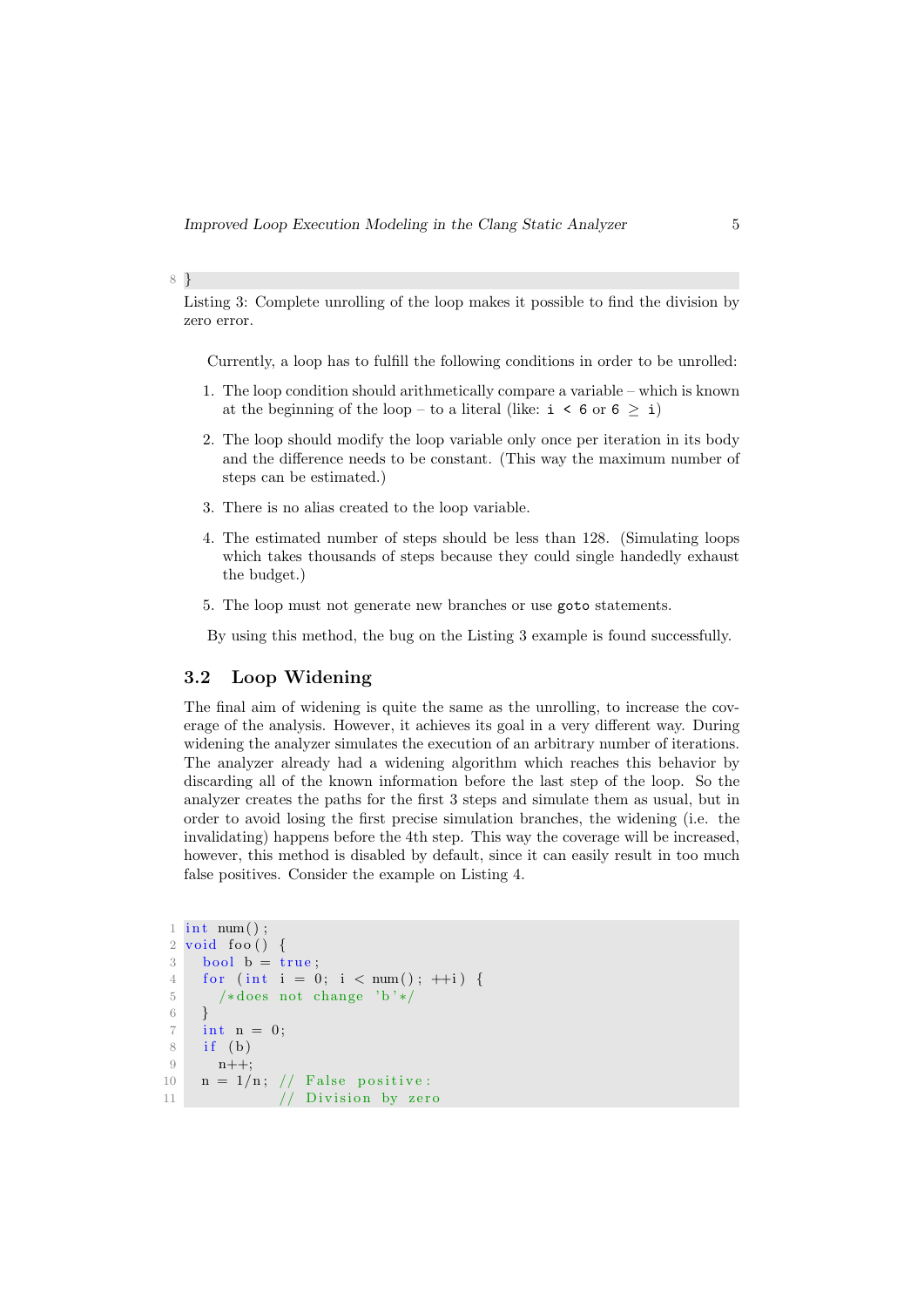8 }

Listing 3: Complete unrolling of the loop makes it possible to find the division by zero error.

Currently, a loop has to fulfill the following conditions in order to be unrolled:

- 1. The loop condition should arithmetically compare a variable which is known at the beginning of the loop – to a literal (like:  $i \leq 6$  or  $6 \geq i$ )
- 2. The loop should modify the loop variable only once per iteration in its body and the difference needs to be constant. (This way the maximum number of steps can be estimated.)
- 3. There is no alias created to the loop variable.
- 4. The estimated number of steps should be less than 128. (Simulating loops which takes thousands of steps because they could single handedly exhaust the budget.)
- 5. The loop must not generate new branches or use goto statements.

By using this method, the bug on the Listing 3 example is found successfully.

#### 3.2 Loop Widening

The final aim of widening is quite the same as the unrolling, to increase the coverage of the analysis. However, it achieves its goal in a very different way. During widening the analyzer simulates the execution of an arbitrary number of iterations. The analyzer already had a widening algorithm which reaches this behavior by discarding all of the known information before the last step of the loop. So the analyzer creates the paths for the first 3 steps and simulate them as usual, but in order to avoid losing the first precise simulation branches, the widening (i.e. the invalidating) happens before the 4th step. This way the coverage will be increased, however, this method is disabled by default, since it can easily result in too much false positives. Consider the example on Listing 4.

```
1 int num();
2 \text{ void } foo () {
3 \text{ bool } b = \text{ true};4 for (int i = 0; i < num(); +i) {
5 /\star does not change 'b'\star/
6 }
7 int n = 0;
8 if (b)
9 n++;
10 \quad n = 1/n; \text{ // False positive :}11 // Division by zero
```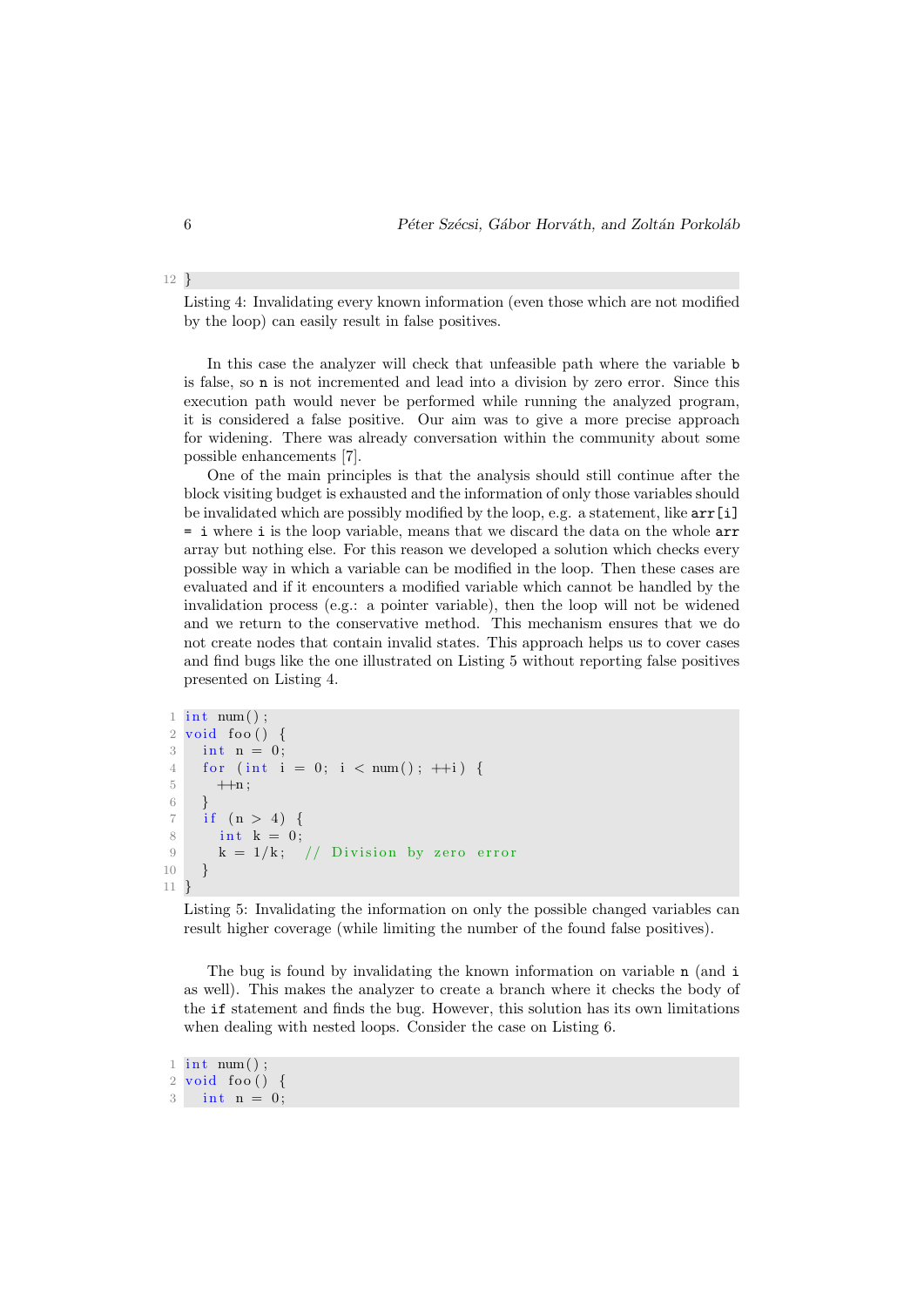Listing 4: Invalidating every known information (even those which are not modified by the loop) can easily result in false positives.

In this case the analyzer will check that unfeasible path where the variable b is false, so n is not incremented and lead into a division by zero error. Since this execution path would never be performed while running the analyzed program, it is considered a false positive. Our aim was to give a more precise approach for widening. There was already conversation within the community about some possible enhancements [7].

One of the main principles is that the analysis should still continue after the block visiting budget is exhausted and the information of only those variables should be invalidated which are possibly modified by the loop, e.g. a statement, like arr[i] = i where i is the loop variable, means that we discard the data on the whole arr array but nothing else. For this reason we developed a solution which checks every possible way in which a variable can be modified in the loop. Then these cases are evaluated and if it encounters a modified variable which cannot be handled by the invalidation process (e.g.: a pointer variable), then the loop will not be widened and we return to the conservative method. This mechanism ensures that we do not create nodes that contain invalid states. This approach helps us to cover cases and find bugs like the one illustrated on Listing 5 without reporting false positives presented on Listing 4.

```
1 int num();
2 \text{ void } \text{foo}() {
3 int n = 0;
4 for (int i = 0; i < num(); ++i) {
5 ++n;\, \, \,7 if (n > 4) {
8 int k = 0;
9 k = 1/k; // Division by zero error
10 }
11 }
```
Listing 5: Invalidating the information on only the possible changed variables can result higher coverage (while limiting the number of the found false positives).

The bug is found by invalidating the known information on variable n (and i as well). This makes the analyzer to create a branch where it checks the body of the if statement and finds the bug. However, this solution has its own limitations when dealing with nested loops. Consider the case on Listing 6.

```
1 int num();
2 \text{ void } \text{foo}()3 int n = 0;
```
12 }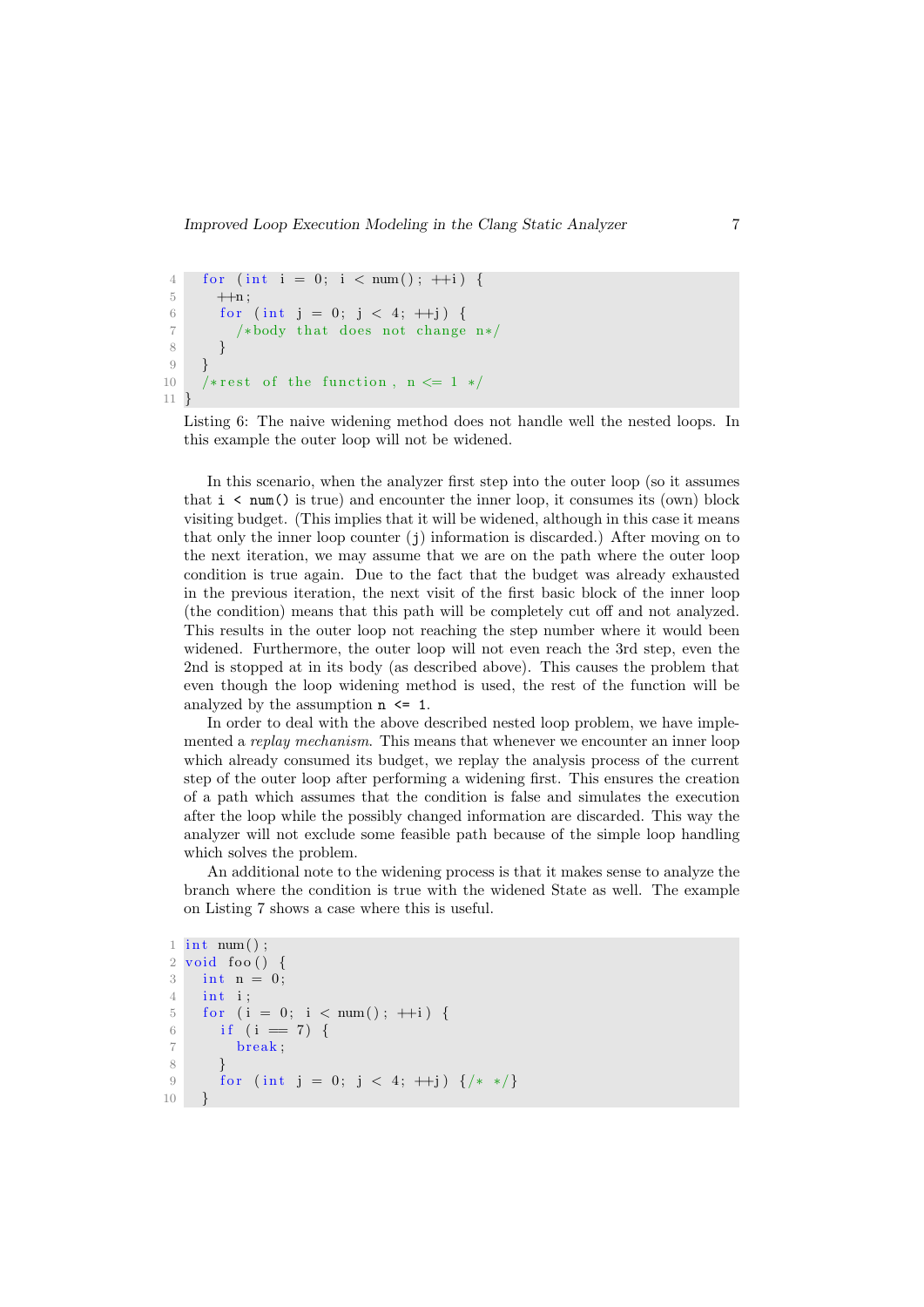```
4 for (int i = 0; i < num(); +i) {
5 ++n;6 for (int j = 0; j < 4; ++j) {
7 /*body that does not change n*/
8 }
9 }
10 /*rest of the function, n \leq 1 */
11 }
```
Listing 6: The naive widening method does not handle well the nested loops. In this example the outer loop will not be widened.

In this scenario, when the analyzer first step into the outer loop (so it assumes that  $i \leq \text{num}$  () is true) and encounter the inner loop, it consumes its (own) block visiting budget. (This implies that it will be widened, although in this case it means that only the inner loop counter (j) information is discarded.) After moving on to the next iteration, we may assume that we are on the path where the outer loop condition is true again. Due to the fact that the budget was already exhausted in the previous iteration, the next visit of the first basic block of the inner loop (the condition) means that this path will be completely cut off and not analyzed. This results in the outer loop not reaching the step number where it would been widened. Furthermore, the outer loop will not even reach the 3rd step, even the 2nd is stopped at in its body (as described above). This causes the problem that even though the loop widening method is used, the rest of the function will be analyzed by the assumption  $n \leq 1$ .

In order to deal with the above described nested loop problem, we have implemented a replay mechanism. This means that whenever we encounter an inner loop which already consumed its budget, we replay the analysis process of the current step of the outer loop after performing a widening first. This ensures the creation of a path which assumes that the condition is false and simulates the execution after the loop while the possibly changed information are discarded. This way the analyzer will not exclude some feasible path because of the simple loop handling which solves the problem.

An additional note to the widening process is that it makes sense to analyze the branch where the condition is true with the widened State as well. The example on Listing 7 shows a case where this is useful.

```
1 int num();
2 \text{ void } \text{foo}()3 int n = 0;
4 int i;
5 for (i = 0; i < num(); ++i) {
6 if (i = 7) {
7 break ;
8 }
9 for (int j = 0; j < 4; ++j) {/* */}
10 }
```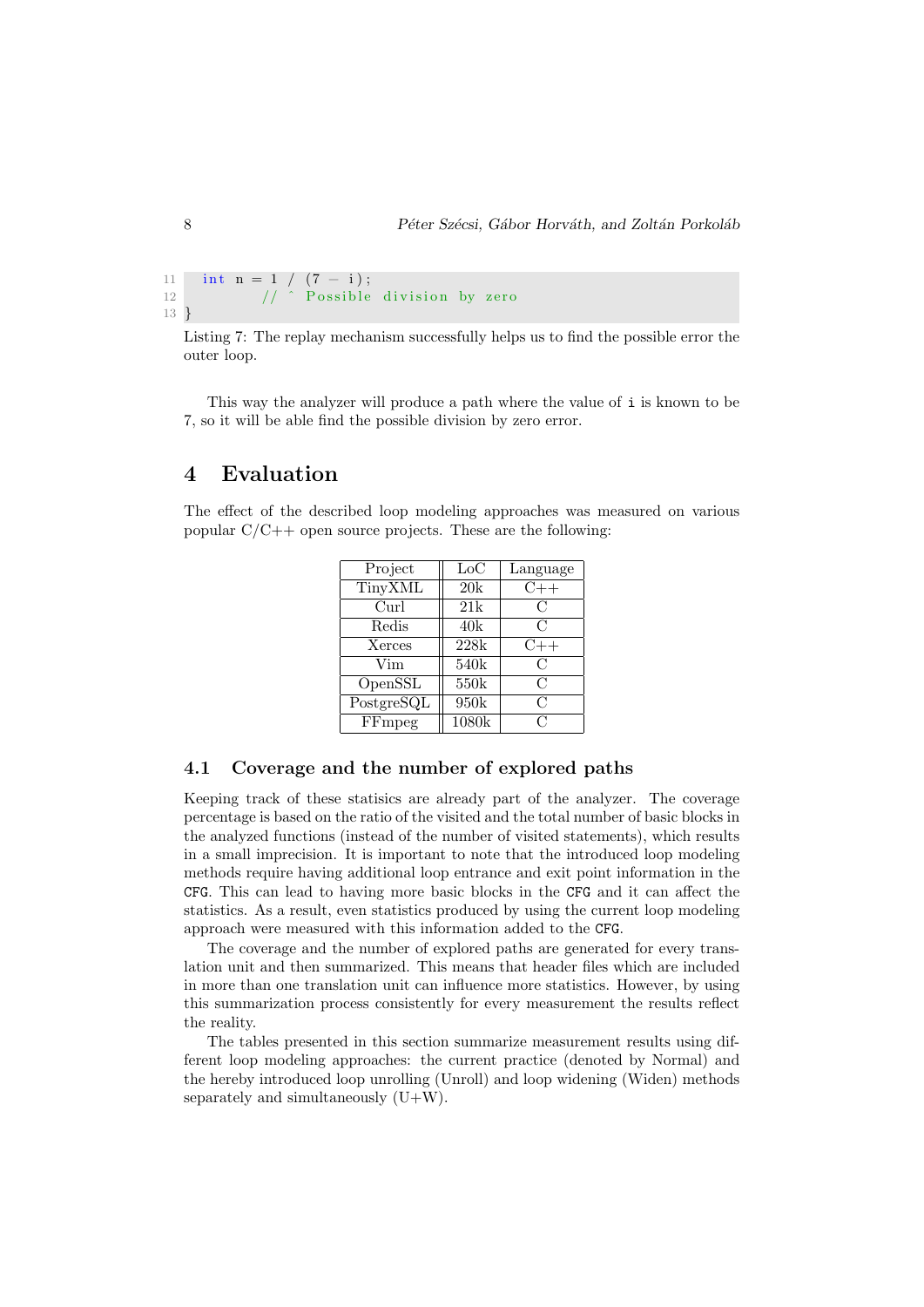11 int n = 1 /  $(7 - i);$  $12$  //  $\hat{P}$  Possible division by zero 13 }

Listing 7: The replay mechanism successfully helps us to find the possible error the outer loop.

This way the analyzer will produce a path where the value of i is known to be 7, so it will be able find the possible division by zero error.

# 4 Evaluation

The effect of the described loop modeling approaches was measured on various popular  $C/C++$  open source projects. These are the following:

| Project    | $_{\rm LoC}$ | Language      |
|------------|--------------|---------------|
| TinyXML    | 20k          | $C++$         |
| Curl       | 21k          | С             |
| Redis      | 40k          | C             |
| Xerces     | 228k         | $C++$         |
| Vim        | 540k         | $\rm C$       |
| OpenSSL    | 550k         | $\mathcal{C}$ |
| PostgreSQL | 950k         | $\mathcal{C}$ |
| FFmpeg     | 1080k        | C             |

#### 4.1 Coverage and the number of explored paths

Keeping track of these statisics are already part of the analyzer. The coverage percentage is based on the ratio of the visited and the total number of basic blocks in the analyzed functions (instead of the number of visited statements), which results in a small imprecision. It is important to note that the introduced loop modeling methods require having additional loop entrance and exit point information in the CFG. This can lead to having more basic blocks in the CFG and it can affect the statistics. As a result, even statistics produced by using the current loop modeling approach were measured with this information added to the CFG.

The coverage and the number of explored paths are generated for every translation unit and then summarized. This means that header files which are included in more than one translation unit can influence more statistics. However, by using this summarization process consistently for every measurement the results reflect the reality.

The tables presented in this section summarize measurement results using different loop modeling approaches: the current practice (denoted by Normal) and the hereby introduced loop unrolling (Unroll) and loop widening (Widen) methods separately and simultaneously (U+W).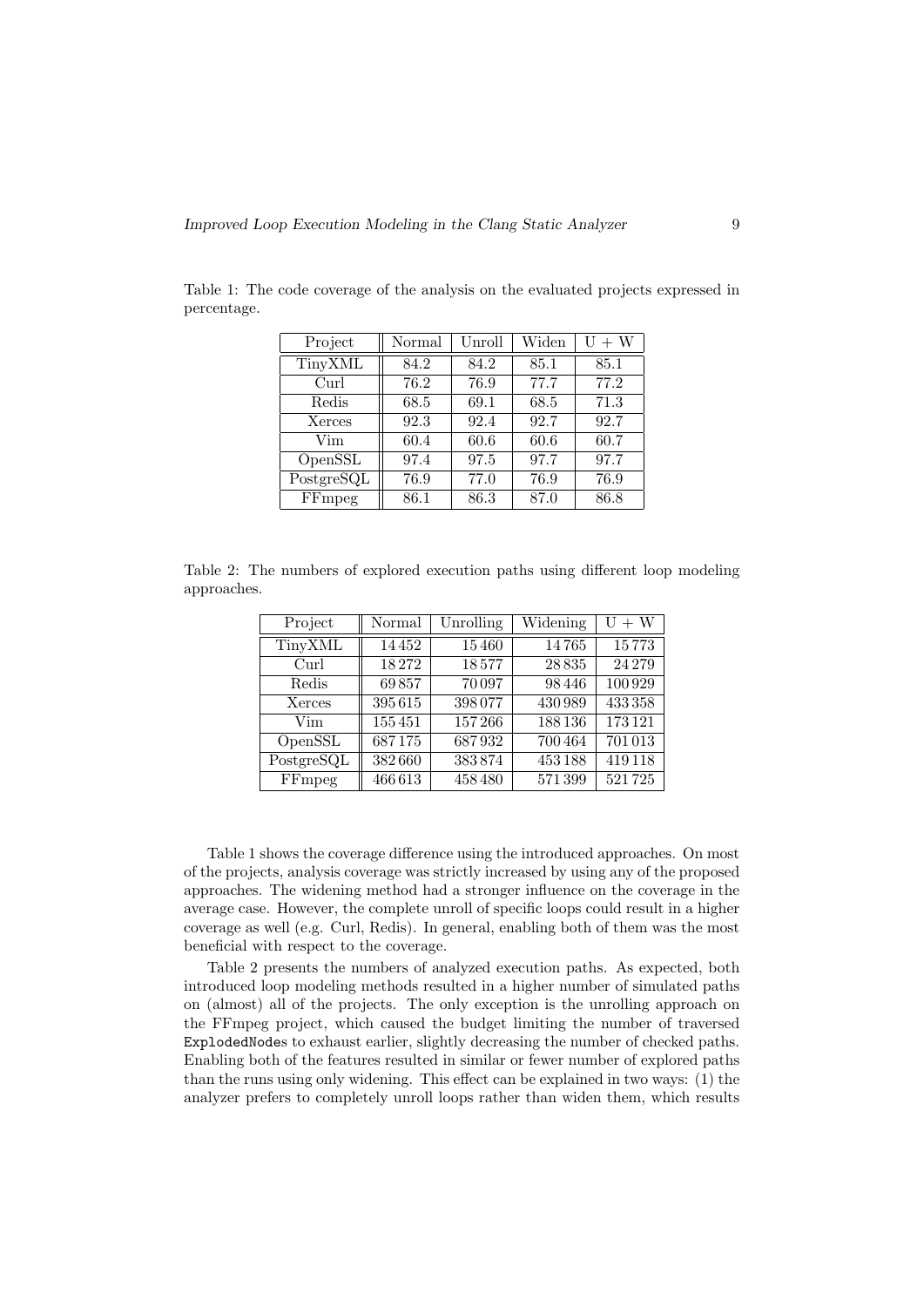| Project    | Normal | Unroll | Widen | $U + W$ |
|------------|--------|--------|-------|---------|
| TinyXML    | 84.2   | 84.2   | 85.1  | 85.1    |
| Curl       | 76.2   | 76.9   | 77.7  | 77.2    |
| Redis      | 68.5   | 69.1   | 68.5  | 71.3    |
| Xerces     | 92.3   | 92.4   | 92.7  | 92.7    |
| Vim        | 60.4   | 60.6   | 60.6  | 60.7    |
| OpenSSL    | 97.4   | 97.5   | 97.7  | 97.7    |
| PostgreSQL | 76.9   | 77.0   | 76.9  | 76.9    |
| FFmpeg     | 86.1   | 86.3   | 87.0  | 86.8    |

Table 1: The code coverage of the analysis on the evaluated projects expressed in percentage.

Table 2: The numbers of explored execution paths using different loop modeling approaches.

| Project    | Normal | Unrolling | Widening | $U + W$ |
|------------|--------|-----------|----------|---------|
| TinyXML    | 14452  | 15460     | 14765    | 15773   |
| Curl       | 18272  | 18577     | 28835    | 24 2 79 |
| Redis      | 69857  | 70097     | 98446    | 100929  |
| Xerces     | 395615 | 398077    | 430989   | 433358  |
| Vim        | 155451 | 157266    | 188 136  | 173121  |
| OpenSSL    | 687175 | 687932    | 700 464  | 701013  |
| PostgreSQL | 382660 | 383874    | 453188   | 419118  |
| FFmpeg     | 466613 | 458480    | 571399   | 521725  |

Table 1 shows the coverage difference using the introduced approaches. On most of the projects, analysis coverage was strictly increased by using any of the proposed approaches. The widening method had a stronger influence on the coverage in the average case. However, the complete unroll of specific loops could result in a higher coverage as well (e.g. Curl, Redis). In general, enabling both of them was the most beneficial with respect to the coverage.

Table 2 presents the numbers of analyzed execution paths. As expected, both introduced loop modeling methods resulted in a higher number of simulated paths on (almost) all of the projects. The only exception is the unrolling approach on the FFmpeg project, which caused the budget limiting the number of traversed ExplodedNodes to exhaust earlier, slightly decreasing the number of checked paths. Enabling both of the features resulted in similar or fewer number of explored paths than the runs using only widening. This effect can be explained in two ways: (1) the analyzer prefers to completely unroll loops rather than widen them, which results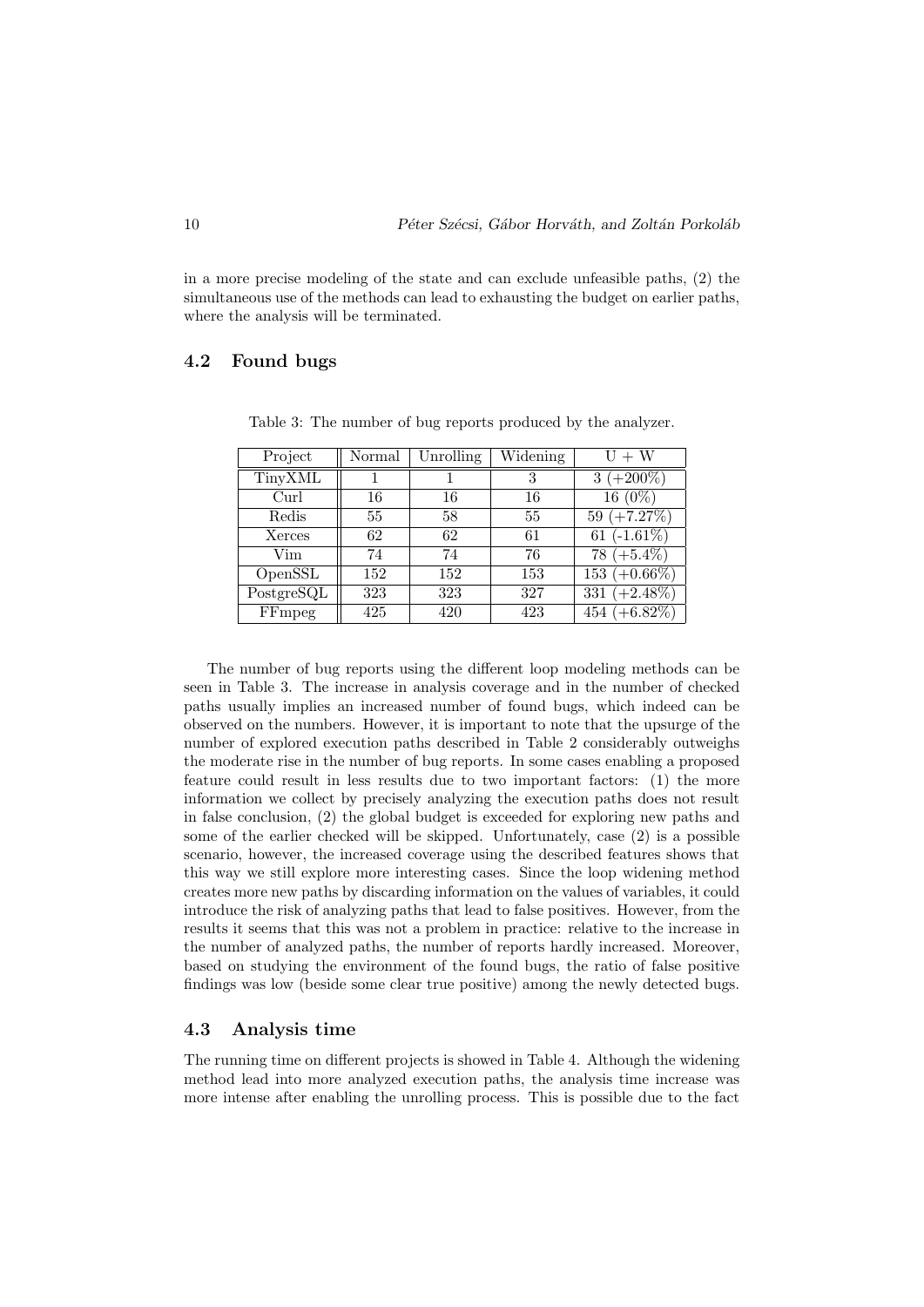in a more precise modeling of the state and can exclude unfeasible paths, (2) the simultaneous use of the methods can lead to exhausting the budget on earlier paths, where the analysis will be terminated.

#### 4.2 Found bugs

| Project    | Normal | Unrolling | Widening | $U + W$         |
|------------|--------|-----------|----------|-----------------|
| TinyXML    |        |           | 3        | $3 (+200\%)$    |
| Curl       | 16     | 16        | 16       | 16 (0%)         |
| Redis      | 55     | 58        | 55       | 59 $(+7.27%)$   |
| Xerces     | 62     | 62        | 61       | 61 $(-1.61\%)$  |
| Vim        | 74     | 74        | 76       | $78 (+5.4\%)$   |
| OpenSSL    | 152    | 152       | 153      | 153 $(+0.66\%)$ |
| PostgreSQL | 323    | 323       | 327      | 331 $(+2.48\%)$ |
| FFmpeg     | 425    | 420       | 423      | 454 $(+6.82\%)$ |

Table 3: The number of bug reports produced by the analyzer.

The number of bug reports using the different loop modeling methods can be seen in Table 3. The increase in analysis coverage and in the number of checked paths usually implies an increased number of found bugs, which indeed can be observed on the numbers. However, it is important to note that the upsurge of the number of explored execution paths described in Table 2 considerably outweighs the moderate rise in the number of bug reports. In some cases enabling a proposed feature could result in less results due to two important factors: (1) the more information we collect by precisely analyzing the execution paths does not result in false conclusion, (2) the global budget is exceeded for exploring new paths and some of the earlier checked will be skipped. Unfortunately, case (2) is a possible scenario, however, the increased coverage using the described features shows that this way we still explore more interesting cases. Since the loop widening method creates more new paths by discarding information on the values of variables, it could introduce the risk of analyzing paths that lead to false positives. However, from the results it seems that this was not a problem in practice: relative to the increase in the number of analyzed paths, the number of reports hardly increased. Moreover, based on studying the environment of the found bugs, the ratio of false positive findings was low (beside some clear true positive) among the newly detected bugs.

#### 4.3 Analysis time

The running time on different projects is showed in Table 4. Although the widening method lead into more analyzed execution paths, the analysis time increase was more intense after enabling the unrolling process. This is possible due to the fact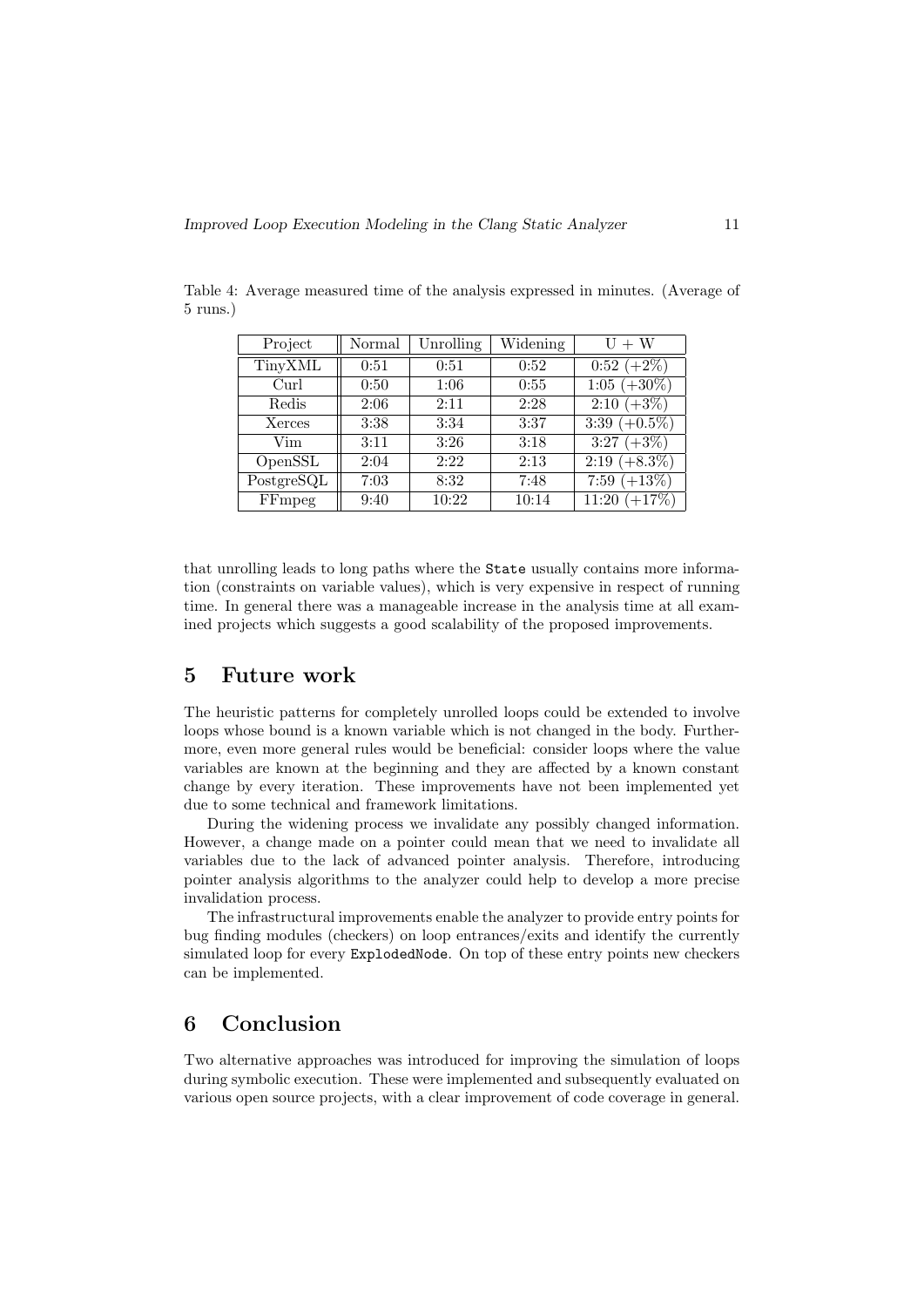| Project    | Normal | Unrolling | Widening | $U + W$           |
|------------|--------|-----------|----------|-------------------|
| TinyXML    | 0:51   | 0:51      | 0:52     | $0.52 (+2\%)$     |
| Curl       | 0:50   | 1:06      | 0:55     | 1:05 $(+30\%)$    |
| Redis      | 2:06   | 2:11      | 2:28     | $2:10 (+3%)$      |
| Xerces     | 3:38   | 3:34      | 3:37     | 3:39 $(+0.5\%)$   |
| Vim        | 3:11   | 3:26      | 3:18     | 3:27 $(+3\%)$     |
| OpenSSL    | 2:04   | 2:22      | 2:13     | $2:19 (+8.3\%)$   |
| PostgreSQL | 7:03   | 8:32      | 7:48     | 7:59 $(+13\%)$    |
| FFmpeg     | 9:40   | 10:22     | 10:14    | 11:20<br>$(+17%)$ |

Table 4: Average measured time of the analysis expressed in minutes. (Average of 5 runs.)

that unrolling leads to long paths where the State usually contains more information (constraints on variable values), which is very expensive in respect of running time. In general there was a manageable increase in the analysis time at all examined projects which suggests a good scalability of the proposed improvements.

### 5 Future work

The heuristic patterns for completely unrolled loops could be extended to involve loops whose bound is a known variable which is not changed in the body. Furthermore, even more general rules would be beneficial: consider loops where the value variables are known at the beginning and they are affected by a known constant change by every iteration. These improvements have not been implemented yet due to some technical and framework limitations.

During the widening process we invalidate any possibly changed information. However, a change made on a pointer could mean that we need to invalidate all variables due to the lack of advanced pointer analysis. Therefore, introducing pointer analysis algorithms to the analyzer could help to develop a more precise invalidation process.

The infrastructural improvements enable the analyzer to provide entry points for bug finding modules (checkers) on loop entrances/exits and identify the currently simulated loop for every ExplodedNode. On top of these entry points new checkers can be implemented.

# 6 Conclusion

Two alternative approaches was introduced for improving the simulation of loops during symbolic execution. These were implemented and subsequently evaluated on various open source projects, with a clear improvement of code coverage in general.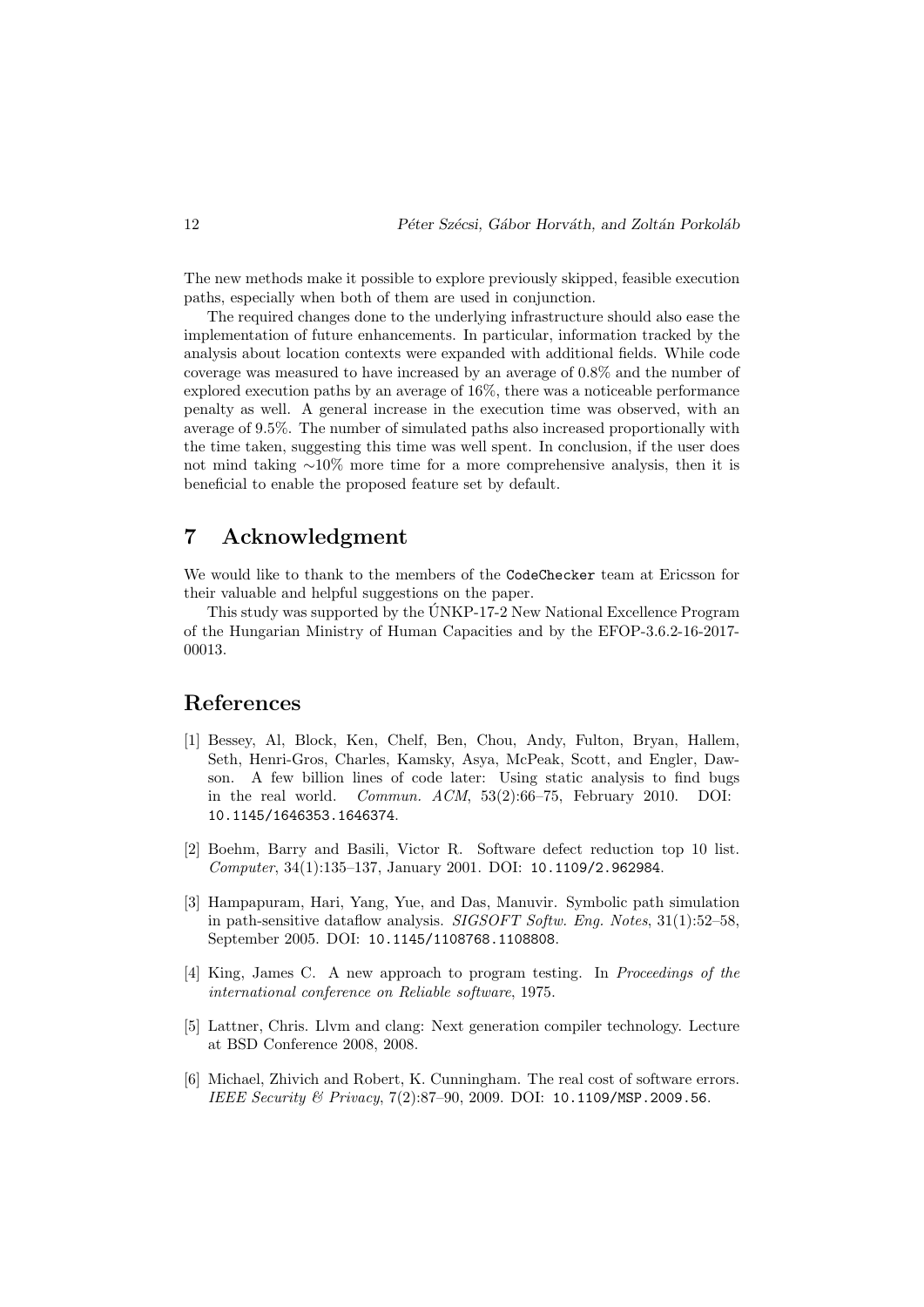The new methods make it possible to explore previously skipped, feasible execution paths, especially when both of them are used in conjunction.

The required changes done to the underlying infrastructure should also ease the implementation of future enhancements. In particular, information tracked by the analysis about location contexts were expanded with additional fields. While code coverage was measured to have increased by an average of 0.8% and the number of explored execution paths by an average of 16%, there was a noticeable performance penalty as well. A general increase in the execution time was observed, with an average of 9.5%. The number of simulated paths also increased proportionally with the time taken, suggesting this time was well spent. In conclusion, if the user does not mind taking ∼10% more time for a more comprehensive analysis, then it is beneficial to enable the proposed feature set by default.

# 7 Acknowledgment

We would like to thank to the members of the CodeChecker team at Ericsson for their valuable and helpful suggestions on the paper.

This study was supported by the UNKP-17-2 New National Excellence Program ´ of the Hungarian Ministry of Human Capacities and by the EFOP-3.6.2-16-2017- 00013.

#### References

- [1] Bessey, Al, Block, Ken, Chelf, Ben, Chou, Andy, Fulton, Bryan, Hallem, Seth, Henri-Gros, Charles, Kamsky, Asya, McPeak, Scott, and Engler, Dawson. A few billion lines of code later: Using static analysis to find bugs in the real world. *Commun. ACM*,  $53(2):66-75$ , February 2010. DOI: 10.1145/1646353.1646374.
- [2] Boehm, Barry and Basili, Victor R. Software defect reduction top 10 list. Computer, 34(1):135–137, January 2001. DOI: 10.1109/2.962984.
- [3] Hampapuram, Hari, Yang, Yue, and Das, Manuvir. Symbolic path simulation in path-sensitive dataflow analysis. SIGSOFT Softw. Eng. Notes, 31(1):52–58, September 2005. DOI: 10.1145/1108768.1108808.
- [4] King, James C. A new approach to program testing. In Proceedings of the international conference on Reliable software, 1975.
- [5] Lattner, Chris. Llvm and clang: Next generation compiler technology. Lecture at BSD Conference 2008, 2008.
- [6] Michael, Zhivich and Robert, K. Cunningham. The real cost of software errors. IEEE Security & Privacy, 7(2):87–90, 2009. DOI: 10.1109/MSP.2009.56.